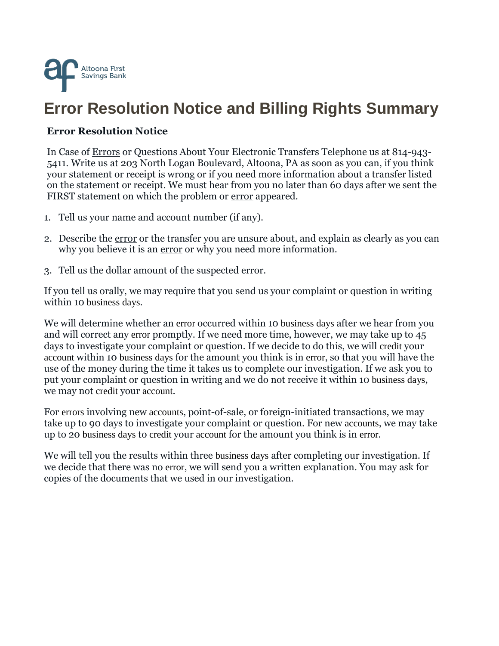

## **Error Resolution Notice and Billing Rights Summary**

## **Error Resolution Notice**

In Case of [Errors](https://www.consumerfinance.gov/eregulations/1005-11/2013-19503#1005-11-a-1) or Questions About Your Electronic Transfers Telephone us at 814-943- 5411. Write us at 203 North Logan Boulevard, Altoona, PA as soon as you can, if you think your statement or receipt is wrong or if you need more information about a transfer listed on the statement or receipt. We must hear from you no later than 60 days after we sent the FIRST statement on which the problem or <u>error</u> appeared.

- 1. Tell us your name and [account](https://www.consumerfinance.gov/eregulations/1005-2/2013-19503#1005-2-b-1) number (if any).
- 2. Describe the [error](https://www.consumerfinance.gov/eregulations/1005-11/2013-19503#1005-11-a-1) or the transfer you are unsure about, and explain as clearly as you can why you believe it is an [error](https://www.consumerfinance.gov/eregulations/1005-11/2013-19503#1005-11-a-1) or why you need more information.
- 3. Tell us the dollar amount of the suspected [error.](https://www.consumerfinance.gov/eregulations/1005-11/2013-19503#1005-11-a-1)

If you tell us orally, we may require that you send us your complaint or question in writing within 10 [business days](https://www.consumerfinance.gov/eregulations/1005-2/2013-19503#1005-2-d).

We will determine whether an [error](https://www.consumerfinance.gov/eregulations/1005-11/2013-19503#1005-11-a-1) occurred within 10 [business days](https://www.consumerfinance.gov/eregulations/1005-2/2013-19503#1005-2-d) after we hear from you and will correct any [error](https://www.consumerfinance.gov/eregulations/1005-11/2013-19503#1005-11-a-1) promptly. If we need more time, however, we may take up to 45 days to investigate your complaint or question. If we decide to do this, we will [credit](https://www.consumerfinance.gov/eregulations/1005-2/2013-19503#1005-2-f) your [account](https://www.consumerfinance.gov/eregulations/1005-2/2013-19503#1005-2-b-1) within 10 [business days](https://www.consumerfinance.gov/eregulations/1005-2/2013-19503#1005-2-d) for the amount you think is in [error](https://www.consumerfinance.gov/eregulations/1005-11/2013-19503#1005-11-a-1), so that you will have the use of the money during the time it takes us to complete our investigation. If we ask you to put your complaint or question in writing and we do not receive it within 10 [business days](https://www.consumerfinance.gov/eregulations/1005-2/2013-19503#1005-2-d), we may not [credit](https://www.consumerfinance.gov/eregulations/1005-2/2013-19503#1005-2-f) your [account](https://www.consumerfinance.gov/eregulations/1005-2/2013-19503#1005-2-b-1).

For [errors](https://www.consumerfinance.gov/eregulations/1005-11/2013-19503#1005-11-a-1) involving new [accounts](https://www.consumerfinance.gov/eregulations/1005-2/2013-19503#1005-2-b-1), point-of-sale, or foreign-initiated transactions, we may take up to 90 days to investigate your complaint or question. For new [accounts](https://www.consumerfinance.gov/eregulations/1005-2/2013-19503#1005-2-b-1), we may take up to 20 [business days](https://www.consumerfinance.gov/eregulations/1005-2/2013-19503#1005-2-d) to [credit](https://www.consumerfinance.gov/eregulations/1005-2/2013-19503#1005-2-f) your [account](https://www.consumerfinance.gov/eregulations/1005-2/2013-19503#1005-2-b-1) for the amount you think is in [error](https://www.consumerfinance.gov/eregulations/1005-11/2013-19503#1005-11-a-1).

We will tell you the results within three [business days](https://www.consumerfinance.gov/eregulations/1005-2/2013-19503#1005-2-d) after completing our investigation. If we decide that there was no [error](https://www.consumerfinance.gov/eregulations/1005-11/2013-19503#1005-11-a-1), we will send you a written explanation. You may ask for copies of the documents that we used in our investigation.